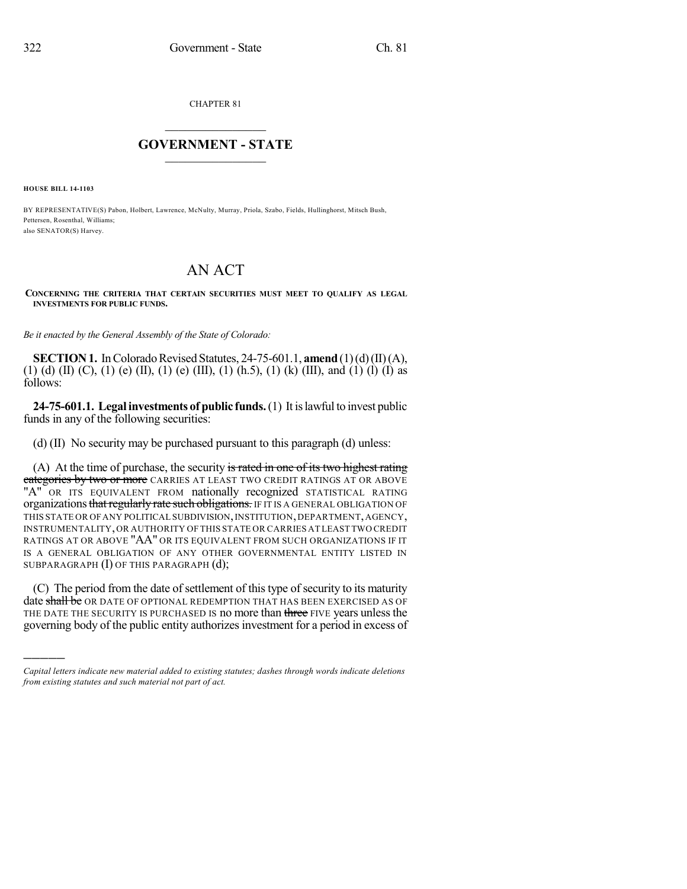CHAPTER 81

## $\overline{\phantom{a}}$  . The set of the set of the set of the set of the set of the set of the set of the set of the set of the set of the set of the set of the set of the set of the set of the set of the set of the set of the set o **GOVERNMENT - STATE**  $\_$

**HOUSE BILL 14-1103**

)))))

BY REPRESENTATIVE(S) Pabon, Holbert, Lawrence, McNulty, Murray, Priola, Szabo, Fields, Hullinghorst, Mitsch Bush, Pettersen, Rosenthal, Williams; also SENATOR(S) Harvey.

## AN ACT

## **CONCERNING THE CRITERIA THAT CERTAIN SECURITIES MUST MEET TO QUALIFY AS LEGAL INVESTMENTS FOR PUBLIC FUNDS.**

*Be it enacted by the General Assembly of the State of Colorado:*

**SECTION 1.** In Colorado Revised Statutes, 24-75-601.1, **amend** (1)(d)(II)(A), (1) (d) (II) (C), (1) (e) (II), (1) (e) (III), (1) (h.5), (1) (k) (III), and (1) (l) (I) as follows:

**24-75-601.1. Legal investments of public funds.**(1) It islawful to invest public funds in any of the following securities:

(d) (II) No security may be purchased pursuant to this paragraph (d) unless:

(A) At the time of purchase, the security is rated in one of its two highest rating categories by two or more CARRIES AT LEAST TWO CREDIT RATINGS AT OR ABOVE "A" OR ITS EQUIVALENT FROM nationally recognized STATISTICAL RATING organizations that regularly rate such obligations. IF IT IS A GENERAL OBLIGATION OF THIS STATE OR OF ANY POLITICAL SUBDIVISION, INSTITUTION, DEPARTMENT, AGENCY, INSTRUMENTALITY,OR AUTHORITY OF THIS STATE OR CARRIES AT LEAST TWO CREDIT RATINGS AT OR ABOVE "AA" OR ITS EQUIVALENT FROM SUCH ORGANIZATIONS IF IT IS A GENERAL OBLIGATION OF ANY OTHER GOVERNMENTAL ENTITY LISTED IN SUBPARAGRAPH (I) OF THIS PARAGRAPH (d);

(C) The period from the date of settlement of this type of security to its maturity date shall be OR DATE OF OPTIONAL REDEMPTION THAT HAS BEEN EXERCISED AS OF THE DATE THE SECURITY IS PURCHASED IS no more than three FIVE years unless the governing body of the public entity authorizes investment for a period in excess of

*Capital letters indicate new material added to existing statutes; dashes through words indicate deletions from existing statutes and such material not part of act.*